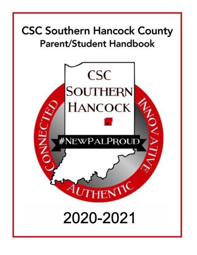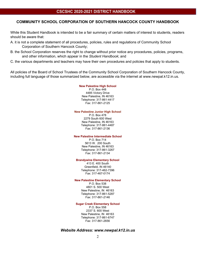#### **COMMUNITY SCHOOL CORPORATION OF SOUTHERN HANCOCK COUNTY HANDBOOK**

While this Student Handbook is intended to be a fair summary of certain matters of interest to students, readers should be aware that:

- A. it is not a complete statement of all procedures, policies, rules and regulations of Community School Corporation of Southern Hancock County;
- B. the School Corporation reserves the right to change without prior notice any procedures, policies, programs, and other information, which appear in the *Student Handbook*; and
- C. the various departments and teachers may have their own procedures and policies that apply to students.

All policies of the Board of School Trustees of the Community School Corporation of Southern Hancock County, including full language of those summarized below, are accessible via the internet at www.newpal.k12.in.us.

#### **New Palestine High School**

P.O. Box 448 4485 Victory Drive New Palestine, IN 46163 Telephone: 317-861-4417 Fax: 317-861-2125

#### **New Palestine Junior High School**

P.O. Box 478 2279 South 600 West New Palestine, IN 46163 Telephone: 317-861-4487 Fax: 317-861-2136

#### **New Palestine Intermediate School**

P.O. Box 714 5613 W. 200 South New Palestine, IN 46163 Telephone: 317-861-3267 Fax: 317-861-2134

#### **Brandywine Elementary School**

413 E. 400 South Greenfield, IN 46140 Telephone: 317-462-7396 Fax: 317-467-0174

#### **New Palestine Elementary School**

P.O. Box 538 4801 S. 500 West New Palestine, IN 46163 Telephone: 317-861-5287 Fax: 317-861-2146

#### **Sugar Creek Elementary School**

P.O. Box 558 2337 S. 600 West New Palestine, IN 46163 Telephone: 317-861-6747 Fax: 317-861-2656

#### *Website Address: www.newpal.k12.in.us*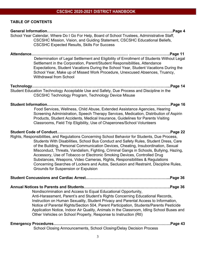# **TABLE OF CONTENTS**

|            | School Year Calendar, Where Do I Go For Help, Board of School Trustees, Administrative Staff,<br>CSCSHC Mission, Vision, and Guiding Statement, CSCSHC Educational Beliefs,<br><b>CSCSHC Expected Results, Skills For Success</b>                                                                                                                                                                                                                                                                                                                                                                                                                                                                             |
|------------|---------------------------------------------------------------------------------------------------------------------------------------------------------------------------------------------------------------------------------------------------------------------------------------------------------------------------------------------------------------------------------------------------------------------------------------------------------------------------------------------------------------------------------------------------------------------------------------------------------------------------------------------------------------------------------------------------------------|
| Attendance | Page 11<br>Determination of Legal Settlement and Eligibility of Enrollment of Students Without Legal<br>Settlement in the Corporation, Parent/Student Responsibilities, Attendance<br>Expectations, Student Vacations During the School Year, Student Vacations During the<br>School Year, Make up of Missed Work Procedure, Unexcused Absences, Truancy,<br><b>Withdrawal from School</b>                                                                                                                                                                                                                                                                                                                    |
|            | Student Education Technology Acceptable Use and Safety, Due Process and Discipline in the<br>CSCSHC Technology Program, Technology Device Misuse                                                                                                                                                                                                                                                                                                                                                                                                                                                                                                                                                              |
|            | Student Information<br>Page 16<br>Food Services, Wellness, Child Abuse, Extended Assistance Agencies, Hearing<br>Screening Administration, Speech Therapy Services, Medication, Distribution of Aspirin<br>Products, Student Accidents, Medical Insurance, Guidelines for Parents Visiting<br>Classrooms, Field Trip Eligibility, Use of Chaperones/School Volunteers                                                                                                                                                                                                                                                                                                                                         |
|            | <b>Student Code of Conduct</b><br>Page 22<br>Rights, Responsibilities, and Regulations Concerning School Behavior for Students, Due Process,<br>Students With Disabilities, School Bus Conduct and Safety Rules, Student Dress, Care<br>of the Building, Personal Communication Devices, Cheating, Insubordination, Sexual<br>Misconduct, Threats, Vandalism, Fighting, Criminal Gangs in Schools, Bullying, Hazing,<br>Accessory, Use of Tobacco or Electronic Smoking Devices, Controlled Drug<br>Substances, Weapons, Video Cameras, Rights, Responsibilities & Regulations<br>Concerning Searches of Lockers and Autos, Seclusion and Restraint, Discipline Rules,<br>Grounds for Suspension or Expulsion |
|            |                                                                                                                                                                                                                                                                                                                                                                                                                                                                                                                                                                                                                                                                                                               |
|            | Nondiscrimination and Access to Equal Educational Opportunity,<br>Anti-Harassment, Parent's and Student's Rights Concerning Educational Records,<br>Instruction on Human Sexuality, Student Privacy and Parental Access to Information,<br>Notice of Parental Rights/Section 504, Parent Participation, Students/Parents Pesticide<br>Application Notice, Indoor Air Quality, Animals in the Classroom, Idling School Buses and<br>Other Vehicles on School Property, Response to Instruction (RtI)                                                                                                                                                                                                           |
|            | School Closing Announcements, School Closing/Delay Decision Process                                                                                                                                                                                                                                                                                                                                                                                                                                                                                                                                                                                                                                           |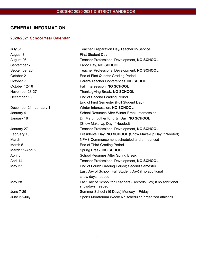# **GENERAL INFORMATION**

# **2020-2021 School Year Calendar**

| July 31                 | Teacher Preparation Day/Teacher In-Service                                        |
|-------------------------|-----------------------------------------------------------------------------------|
| August 3                | <b>First Student Day</b>                                                          |
| August 26               | Teacher Professional Development, NO SCHOOL                                       |
| September 7             | Labor Day, NO SCHOOL                                                              |
| September 23            | Teacher Professional Development, NO SCHOOL                                       |
| October 2               | End of First Quarter Grading Period                                               |
| October 7               | Parent/Teacher Conferences, NO SCHOOL                                             |
| October 12-16           | Fall Intersession, NO SCHOOL                                                      |
| November 23-27          | Thanksgiving Break, NO SCHOOL                                                     |
| December 18             | <b>End of Second Grading Period</b>                                               |
|                         | End of First Semester (Full Student Day)                                          |
| December 21 - January 1 | Winter Intersession, NO SCHOOL                                                    |
| January 4               | School Resumes After Winter Break Intersession                                    |
| January 18              | Dr. Martin Luther King Jr. Day, NO SCHOOL                                         |
|                         | (Snow Make-Up Day If Needed)                                                      |
| January 27              | Teacher Professional Development, NO SCHOOL                                       |
| February 15             | Presidents' Day, NO SCHOOL (Snow Make-Up Day If Needed)                           |
| March                   | NPHS Commencement scheduled and announced                                         |
| March <sub>5</sub>      | <b>End of Third Grading Period</b>                                                |
| March 22-April 2        | Spring Break, NO SCHOOL                                                           |
| April 5                 | School Resumes After Spring Break                                                 |
| April 14                | Teacher Professional Development, NO SCHOOL                                       |
| May 27                  | End of Fourth Grading Period; Second Semester                                     |
|                         | Last Day of School (Full Student Day) if no additional                            |
|                         | snow days needed                                                                  |
| <b>May 28</b>           | Last Day of School for Teachers (Records Day) if no additional<br>snowdays needed |
| <b>June 7-25</b>        | Summer School (15 Days) Monday - Friday                                           |
| June 27-July 3          | Sports Moratorium Week/ No scheduled/organized athletics                          |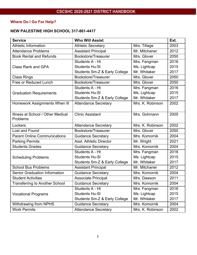# **Where Do I Go For Help?**

# **NEW PALESTINE HIGH SCHOOL 317-861-4417**

| <b>Service</b>                                | <b>Who Will Assist</b>         |                  | Ext. |
|-----------------------------------------------|--------------------------------|------------------|------|
| <b>Athletic Information</b>                   | <b>Athletic Secretary</b>      | Mrs. Tillage     | 2003 |
| <b>Attendance Problems</b>                    | <b>Assistant Principal</b>     | Mr. Mitchaner    | 2012 |
| <b>Book Rental and Refunds</b>                | Bookstore/Treasurer            | Mrs. Glover      | 2050 |
|                                               | Students A - Ht                | Mrs. Fangman     | 2016 |
| <b>Class Rank and GPA</b>                     | <b>Students Hu-SI</b>          | Ms. Lightcap     | 2015 |
|                                               | Students Sm-Z & Early College  | Mr. Whitaker     | 2017 |
| <b>Class Rings</b>                            | Bookstore/Treasurer            | Mrs. Glover      | 2050 |
| Free or Reduced Lunch                         | Bookstore/Treasurer            | Mrs. Glover      | 2050 |
|                                               | Students A - Ht                | Mrs. Fangman     | 2016 |
| <b>Graduation Requirements</b>                | <b>Students Hu-SI</b>          | Ms. Lightcap     | 2015 |
|                                               | Students Sm-Z & Early College  | Mr. Whitaker     | 2017 |
| Homework Assignments When III                 | <b>Attendance Secretary</b>    | Mrs. K. Robinson | 2002 |
| Illness at School / Other Medical<br>Problems | <b>Clinic Assistant</b>        | Mrs. Gohmann     | 2005 |
| Lockers                                       | <b>Attendance Secretary</b>    | Mrs. K. Robinson | 2002 |
| Lost and Found                                | Bookstore/Treasurer            | Mrs. Glover      | 2050 |
| <b>Parent Online Communications</b>           | <b>Guidance Secretary</b>      | Mrs. Komornik    | 2004 |
| <b>Parking Permits</b>                        | <b>Asst. Athletic Director</b> | Mr. Wright       | 2021 |
| <b>Students Grades</b>                        | <b>Guidance Secretary</b>      | Mrs. Komornik    | 2004 |
|                                               | Students A - Ht                | Mrs. Fangman     | 2016 |
| <b>Scheduling Problems</b>                    | <b>Students Hu-SI</b>          | Ms. Lightcap     | 2015 |
|                                               | Students Sm-Z & Early College  | Mr. Whitaker     | 2017 |
| <b>School Bus Problems</b>                    | <b>Assistant Principal</b>     | Mr. Mitchaner    | 2012 |
| Senior Graduation Information                 | <b>Guidance Secretary</b>      | Mrs. Komornik    | 2004 |
| <b>Student Activities</b>                     | <b>Associate Principal</b>     | Mrs. Dawson      | 2011 |
| <b>Transferring to Another School</b>         | <b>Guidance Secretary</b>      | Mrs. Komornik    | 2004 |
|                                               | Students A - Ht                | Mrs. Fangman     | 2016 |
| <b>Vocational Programs</b>                    | <b>Students Hu-SI</b>          | Ms. Lightcap     | 2015 |
|                                               | Students Sm-Z & Early College  | Mr. Whitaker     | 2017 |
| <b>Withdrawing from NPHS</b>                  | <b>Guidance Secretary</b>      | Mrs. Komornik    | 2004 |
| <b>Work Permits</b>                           | <b>Attendance Secretary</b>    | Mrs. K. Robinson | 2002 |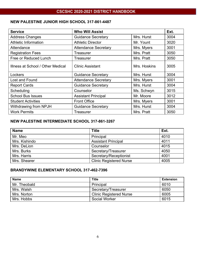# **NEW PALESTINE JUNIOR HIGH SCHOOL 317-861-4487**

| <b>Service</b>                    | <b>Who Will Assist</b>      |              | Ext. |
|-----------------------------------|-----------------------------|--------------|------|
| <b>Address Changes</b>            | <b>Guidance Secretary</b>   | Mrs. Hurst   | 3004 |
| <b>Athletic Information</b>       | <b>Athletic Director</b>    | Mr. Yount    | 3020 |
| Attendance                        | <b>Attendance Secretary</b> | Mrs. Myers   | 3001 |
| <b>Registration Fees</b>          | Treasurer                   | Mrs. Pratt   | 3050 |
| Free or Reduced Lunch             | Treasurer                   | Mrs. Pratt   | 3050 |
| Illness at School / Other Medical | <b>Clinic Assistant</b>     | Mrs. Hoskins | 3005 |
| Lockers                           | <b>Guidance Secretary</b>   | Mrs. Hurst   | 3004 |
| Lost and Found                    | <b>Attendance Secretary</b> | Mrs. Myers   | 3001 |
| <b>Report Cards</b>               | <b>Guidance Secretary</b>   | Mrs. Hurst   | 3004 |
| Scheduling                        | Counselor                   | Ms. Schwyn   | 3015 |
| <b>School Bus Issues</b>          | <b>Assistant Principal</b>  | Mr. Moore    | 3012 |
| <b>Student Activities</b>         | <b>Front Office</b>         | Mrs. Myers   | 3001 |
| Withdrawing from NPJH             | <b>Guidance Secretary</b>   | Mrs. Hurst   | 3004 |
| <b>Work Permits</b>               | <b>Treasurer</b>            | Mrs. Pratt   | 3050 |

#### **NEW PALESTINE INTERMEDIATE SCHOOL 317-861-3267**

| <b>Name</b>   | <b>Title</b>                   | Ext. |
|---------------|--------------------------------|------|
| Mr. Meo       | Principal                      | 4010 |
| Mrs. Kishindo | <b>Assistant Principal</b>     | 4011 |
| Mrs. DeLion   | Counselor                      | 4015 |
| Mrs. Burks    | Secretary/Treasurer            | 4050 |
| Mrs. Harris   | Secretary/Receptionist         | 4001 |
| Mrs. Shearer  | <b>Clinic Registered Nurse</b> | 4005 |

# **BRANDYWINE ELEMENTARY SCHOOL 317-462-7396**

| <b>Name</b>  | <b>Title</b>                   | Extension |
|--------------|--------------------------------|-----------|
| Mr. Theobald | Principal                      | 6010      |
| Mrs. Walsh   | Secretary/Treasurer            | 6050      |
| Mrs. Norton  | <b>Clinic Registered Nurse</b> | 6005      |
| Mrs. Hobbs   | Social Worker                  | 6015      |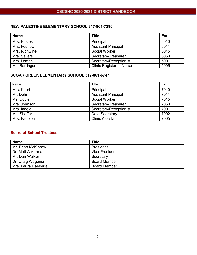# **NEW PALESTINE ELEMENTARY SCHOOL 317-861-7396**

| <b>Name</b>   | <b>Title</b>                   | Ext. |
|---------------|--------------------------------|------|
| Mrs. Eastes   | Principal                      | 5010 |
| Mrs. Fosnow   | <b>Assistant Principal</b>     | 5011 |
| Mrs. Richwine | <b>Social Worker</b>           | 5015 |
| Mrs. Sellers  | Secretary/Treasurer            | 5050 |
| Mrs. Loman    | Secretary/Receptionist         | 5001 |
| Ms. Barringer | <b>Clinic Registered Nurse</b> | 5005 |

### **SUGAR CREEK ELEMENTARY SCHOOL 317-861-6747**

| <b>Name</b>  | <b>Title</b>               | Ext. |
|--------------|----------------------------|------|
| Mrs. Kehrt   | Principal                  | 7010 |
| Mr. Dehr     | <b>Assistant Principal</b> | 7011 |
| Ms. Doyle    | Social Worker              | 7015 |
| Mrs. Johnson | Secretary/Treasurer        | 7050 |
| Mrs. Ingold  | Secretary/Receptionist     | 7001 |
| Ms. Shaffer  | Data Secretary             | 7002 |
| Mrs. Faubion | <b>Clinic Assistant</b>    | 7005 |

# **Board of School Trustees**

| <b>Name</b>         | <b>Title</b>        |
|---------------------|---------------------|
| Mr. Brian McKinney  | President           |
| Dr. Matt Ackerman   | Vice-President      |
| Mr. Dan Walker      | Secretary           |
| Dr. Craig Wagoner   | <b>Board Member</b> |
| Mrs. Laura Haeberle | <b>Board Member</b> |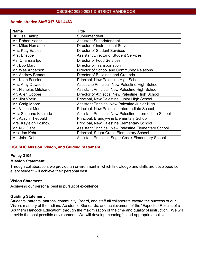#### **Administrative Staff 317-861-4463**

| <b>Name</b>            | <b>Title</b>                                           |
|------------------------|--------------------------------------------------------|
| Dr. Lisa Lantrip       | Superintendent                                         |
| Mr. Robert Yoder       | <b>Assistant Superintendent</b>                        |
| Mr. Miles Hercamp      | <b>Director of Instructional Services</b>              |
| Mrs. Katy Eastes       | <b>Director of Student Services</b>                    |
| Mrs. Briscoe           | <b>Assistant Director of Student Services</b>          |
| Ms. Charissa Igo       | <b>Director of Food Services</b>                       |
| Mr. Bob Martin         | <b>Director of Transportation</b>                      |
| Mr. Wes Anderson       | Director of School and Community Relations             |
| Mr. Andrew Bennet      | Director of Buildings and Grounds                      |
| Mr. Keith Fessler      | Principal, New Palestine High School                   |
| Mrs. Amy Dawson        | Associate Principal, New Palestine High School         |
| Mr. Nicholas Mitchaner | Assistant Principal, New Palestine High School         |
| Mr. Allen Cooper       | Director of Athletics, New Palestine High School       |
| Mr. Jim Voelz          | Principal, New Palestine Junior High School            |
| Mr. Craig Moore        | Assistant Principal New Palestine Junior High          |
| Mr. Vincent Meo        | Principal, New Palestine Intermediate School           |
| Mrs. Suzanne Kishindo  | Assistant Principal, New Palestine Intermediate School |
| Mr. Austin Theobald    | Principal, Brandywine Elementary School                |
| Mrs. Kayleigh Fosnow   | Principal, New Palestine Elementary School             |
| Mr. Nik Giant          | Assistant Principal, New Palestine Elementary School   |
| Mrs. Jan Kehrt         | Principal, Sugar Creek Elementary School               |
| Mr. John Dehr          | Assistant Principal, Sugar Creek Elementary School     |

# **CSCSHC Mission, Vision, and Guiding Statement**

#### **Policy 2105**

#### **Mission Statement**

Through collaboration, we provide an environment in which knowledge and skills are developed so every student will achieve their personal best.

#### **Vision Statement**

Achieving our personal best in pursuit of excellence.

#### **Guiding Statement**

Students, parents, patrons, community, Board, and staff all collaborate toward the success of our Vision, mastery of the Indiana Academic Standards, and achievement of the "Expected Results of a Southern Hancock Education" through the maximization of the time and quality of instruction. We will provide the best possible environment. We will develop meaningful and appropriate policies.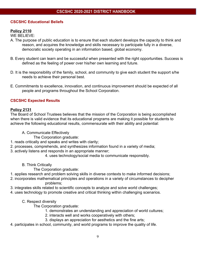# **CSCSHC Educational Beliefs**

# **Policy 2110**

WE BELIEVE:

- A. The purpose of public education is to ensure that each student develops the capacity to think and reason, and acquires the knowledge and skills necessary to participate fully in a diverse, democratic society operating in an information based, global economy.
- B. Every student can learn and be successful when presented with the right opportunities. Success is defined as the feeling of power over his/her own learning and future.
- D. It is the responsibility of the family, school, and community to give each student the support s/he needs to achieve their personal best.
- E. Commitments to excellence, innovation, and continuous improvement should be expected of all people and programs throughout the School Corporation.

# **CSCSHC Expected Results**

# **Policy 2131**

The Board of School Trustees believes that the mission of the Corporation is being accomplished when there is valid evidence that its educational programs are making it possible for students to achieve the following educational results, commensurate with their ability and potential:

# A. Communicate Effectively

- The Corporation graduate:
- 1. reads critically and speaks and writes with clarity;
- 2. processes, comprehends, and synthesizes information found in a variety of media;
- 3. actively listens and responds in an appropriate manner;
	- 4. uses technology/social media to communicate responsibly.

# B. Think Critically

The Corporation graduate:

- 1. applies research and problem solving skills in diverse contexts to make informed decisions;
- 2. incorporates mathematical principles and operations in a variety of circumstances to decipher problems;
- 3. integrates skills related to scientific concepts to analyze and solve world challenges;
- 4. uses technology to promote creative and critical thinking within challenging scenarios.

# C. Respect diversity

The Corporation graduate:

- 1. demonstrates an understanding and appreciation of world cultures;
- 2. interacts well and works cooperatively with others;
- 3. displays an appreciation for aesthetics and the fine arts;
- 4. participates in school, community, and world programs to improve the quality of life.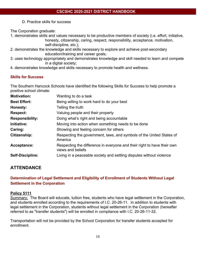D. Practice skills for success

The Corporation graduate:

- 1. demonstrates skills and values necessary to be productive members of society (i.e. effort, initiative, honesty, citizenship, caring, respect, responsibility, acceptance, motivation, self-discipline, etc.);
- 2. demonstrates the knowledge and skills necessary to explore and achieve post-secondary education/training and career goals;
- 3. uses technology appropriately and demonstrates knowledge and skill needed to learn and compete in a digital society;
- 4. demonstrates knowledge and skills necessary to promote health and wellness.

# **Skills for Success**

The Southern Hancock Schools have identified the following Skills for Success to help promote a positive school climate:

| <b>Motivation:</b>      | Wanting to do a task                                                                         |
|-------------------------|----------------------------------------------------------------------------------------------|
| <b>Best Effort:</b>     | Being willing to work hard to do your best                                                   |
| Honesty:                | Telling the truth                                                                            |
| <b>Respect:</b>         | Valuing people and their property                                                            |
| <b>Responsibility:</b>  | Doing what's right and being accountable                                                     |
| Initiative:             | Moving into action when something needs to be done                                           |
| Caring:                 | Showing and feeling concern for others                                                       |
| Citizenship:            | Respecting the government, laws, and symbols of the United States of<br>America              |
| Acceptance:             | Respecting the difference in everyone and their right to have their own<br>views and beliefs |
| <b>Self-Discipline:</b> | Living in a peaceable society and settling disputes without violence                         |

# **ATTENDANCE**

# **Determination of Legal Settlement and Eligibility of Enrollment of Students Without Legal Settlement in the Corporation**

# **Policy 5111**

Summary: The Board will educate, tuition free, students who have legal settlement in the Corporation, and students enrolled according to the requirements of I.C. 20-26-11. In addition to students with legal settlement in the Corporation, students without legal settlement in the Corporation (hereafter referred to as "transfer students") will be enrolled in compliance with I.C. 20-26-11-32.

Transportation will not be provided by the School Corporation for transfer students accepted for enrollment.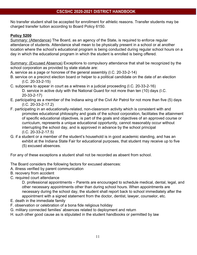No transfer student shall be accepted for enrollment for athletic reasons. Transfer students may be charged transfer tuition according to Board Policy 6150.

# **Policy 5200**

Summary: (Attendance) The Board, as an agency of the State, is required to enforce regular attendance of students. Attendance shall mean to be physically present in a school or at another location where the school's educational program is being conducted during regular school hours on a day in which the educational program in which the student is enrolled is being offered.

Summary: (Excused Absence) Exceptions to compulsory attendance that shall be recognized by the school corporation as provided by state statute are:

A. service as a page or honoree of the general assembly (I.C. 20-33-2-14)

- B. service on a precinct election board or helper to a political candidate on the date of an election (I.C. 20-33-2-15)
- C. subpoena to appear in court as a witness in a judicial proceeding (I.C. 20-33-2-16) D. service in active duty with the National Guard for not more than ten (10) days (I.C. 20-33-2-17)
- E. participating as a member of the Indiana wing of the Civil Air Patrol for not more than five (5) days (I.C. 20-33-2-17.2)
- F. participating in an educationally-related, non-classroom activity which is consistent with and promotes educational philosophy and goals of the school corporation, facilitates the attainment of specific educational objectives, is part of the goals and objectives of an approved course or curriculum, represents a unique educational opportunity, cannot reasonably occur without interrupting the school day, and is approved in advance by the school principal (I.C. 20-33-2-17.5)
- G. if a student or a member of the student's household is in good academic standing, and has an exhibit at the Indiana State Fair for educational purposes, that student may receive up to five (5) excused absences.

For any of these exceptions a student shall not be recorded as absent from school.

The Board considers the following factors for excused absences:

- A. illness verified by parent communication
- B. recovery from accident
- C. required court attendance

D. professional appointments – Parents are encouraged to schedule medical, dental, legal, and other necessary appointments other than during school hours. When appointments are necessary during the school day, the student shall report back to school immediately after the appointment with a signed statement from the doctor, dentist, lawyer, counselor, etc.

- E. death in the immediate family
- F. observation or celebration of a bona fide religious holiday
- G. military connected families' absences related to deployment and return
- H. such other good cause as is stipulated in the student handbooks or permitted by law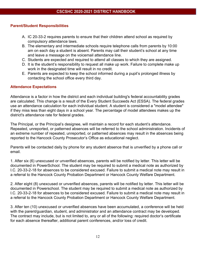### **Parent/Student Responsibilities**

- A. IC 20-33-2 requires parents to ensure that their children attend school as required by compulsory attendance laws.
- B. The elementary and intermediate schools require telephone calls from parents by 10:00 am on each day a student is absent. Parents may call their student's school at any time and leave a message on the voicemail attendance line.
- C. Students are expected and required to attend all classes to which they are assigned.
- D. It is the student's responsibility to request all make up work. Failure to complete make up work in the designated time will result in no credit.
- E. Parents are expected to keep the school informed during a pupil's prolonged illness by contacting the school office every third day.

### **Attendance Expectations**

Attendance is a factor in how the district and each individual building's federal accountability grades are calculated. This change is a result of the Every Student Succeeds Act (ESSA). The federal grades use an attendance calculation for each individual student. A student is considered a "model attendee" if they miss less than eight days in a school year. The percentage of model attendees makes up the district's attendance rate for federal grades.

The Principal, or the Principal's designee, will maintain a record for each student's attendance. Repeated, unreported, or patterned absences will be referred to the school administration. Incidents of an extreme number of repeated, unreported, or patterned absences may result in the absences being reported to the Hancock County Prosecutor's Office as educational neglect.

Parents will be contacted daily by phone for any student absence that is unverified by a phone call or email.

1. After six (6) unexcused or unverified absences, parents will be notified by letter. This letter will be documented in PowerSchool. The student may be required to submit a medical note as authorized by I.C. 20-33-2-18 for absences to be considered excused. Failure to submit a medical note may result in a referral to the Hancock County Probation Department or Hancock County Welfare Department.

2. After eight (8) unexcused or unverified absences, parents will be notified by letter. This letter will be documented in Powerschool. The student may be required to submit a medical note as authorized by I.C. 20-33-2-18 for absences to be considered excused. Failure to submit a medical note may result in a referral to the Hancock County Probation Department or Hancock County Welfare Department.

3. After ten (10) unexcused or unverified absences have been accumulated, a conference will be held with the parent/guardian, student, and administrator and an attendance contract may be developed. The contract may include, but is not limited to, any or all of the following: required doctor's certificate for each absence thereafter, additional parent conferences, and/or loss of credit.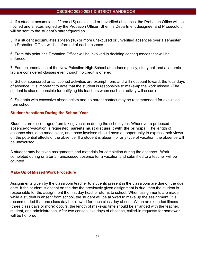4. If a student accumulates fifteen (15) unexcused or unverified absences, the Probation Office will be notified and a letter, signed by the Probation Officer, Sheriff's Department designee, and Prosecutor, will be sent to the student's parent/guardian.

5. If a student accumulates sixteen (16) or more unexcused or unverified absences over a semester, the Probation Officer will be informed of each absence.

6. From this point, the Probation Officer will be involved in deciding consequences that will be enforced.

7. For implementation of the New Palestine High School attendance policy, study hall and academic lab are considered classes even though no credit is offered.

8. School-sponsored or sanctioned activities are exempt from, and will not count toward, the total days of absence. It is important to note that the student is responsible to make-up the work missed. (The student is also responsible for notifying his teachers when such an activity will occur.)

9. Students with excessive absenteeism and no parent contact may be recommended for expulsion from school.

# **Student Vacations During the School Year**

Students are discouraged from taking vacation during the school year. Whenever a proposed absence-for-vacation is requested, **parents must discuss it with the principal**. The length of absence should be made clear, and those involved should have an opportunity to express their views on the potential effects of the absence. If a student is absent for any type of vacation, the absence will be unexcused.

A student may be given assignments and materials for completion during the absence. Work completed during or after an unexcused absence for a vacation and submitted to a teacher will be counted.

# **Make Up of Missed Work Procedure**

Assignments given by the classroom teacher to students present in the classroom are due on the due date. If the student is absent on the day the previously given assignment is due, then the student is responsible for the assignment the first day he/she returns to school. When assignments are made while a student is absent from school, the student will be allowed to make up the assignment. It is recommended that one class day be allowed for each class day absent. When an extended illness (three class days or more) occurs, the length of make-up time should be arranged with the teacher, student, and administration. After two consecutive days of absence, called-in requests for homework will be honored.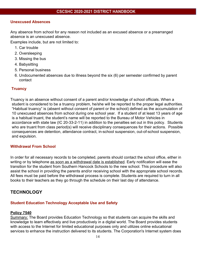### **Unexcused Absences**

Any absence from school for any reason not included as an excused absence or a prearranged absence is an unexcused absence.

Examples include, but are not limited to:

- 1. Car trouble
- 2. Oversleeping
- 3. Missing the bus
- 4. Babysitting
- 5. Personal business
- 6. Undocumented absences due to illness beyond the six (6) per semester confirmed by parent contact

# **Truancy**

Truancy is an absence without consent of a parent and/or knowledge of school officials. When a student is considered to be a truancy problem, he/she will be reported to the proper legal authorities. "Habitual truancy" is (absent without consent of parent or the school) defined as the accumulation of 10 unexcused absences from school during one school year. If a student of at least 13 years of age is a habitual truant, the student's name will be reported to the Bureau of Motor Vehicles in accordance with state law (IC 20-33-2-11) in addition to the penalties set out in this policy. Students who are truant from class period(s) will receive disciplinary consequences for their actions. Possible consequences are detention, attendance contract, in-school suspension, out-of-school suspension, and expulsion.

# **Withdrawal From School**

In order for all necessary records to be completed, parents should contact the school office, either in writing or by telephone as soon as a withdrawal date is established. Early notification will ease the transition for the student from Southern Hancock Schools to the new school. This procedure will also assist the school in providing the parents and/or receiving school with the appropriate school records. All fees must be paid before the withdrawal process is complete. Students are required to turn in all books to their teachers as they go through the schedule on their last day of attendance.

# **TECHNOLOGY**

# **Student Education Technology Acceptable Use and Safety**

#### **Policy 7540**

Summary: The Board provides Education Technology so that students can acquire the skills and knowledge to learn effectively and live productively in a digital world. The Board provides students with access to the Internet for limited educational purposes only and utilizes online educational services to enhance the instruction delivered to its students. The Corporation's Internet system does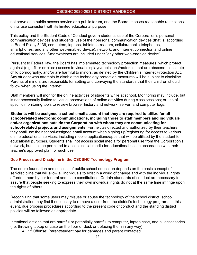not serve as a public access service or a public forum, and the Board imposes reasonable restrictions on its use consistent with its limited educational purpose.

This policy and the Student Code of Conduct govern students' use of the Corporation's personal communication devices and students' use of their personal communication devices (that is, according to Board Policy 5136, computers, laptops, tablets, e-readers, cellular/mobile telephones, smartphones, and any other web-enabled device), network, and Internet connection and online educational services. Smartwatches are included under "any other web-enabled device".

Pursuant to Federal law, the Board has implemented technology protection measures, which protect against (e.g., filter or block) access to visual displays/depictions/materials that are obscene, constitute child pornography, and/or are harmful to minors, as defined by the Children's Internet Protection Act. Any student who attempts to disable the technology protection measures will be subject to discipline. Parents of minors are responsible for setting and conveying the standards that their children should follow when using the Internet.

Staff members will monitor the online activities of students while at school. Monitoring may include, but is not necessarily limited to, visual observations of online activities during class sessions; or use of specific monitoring tools to review browser history and network, server, and computer logs.

**Students will be assigned a school email account that they are required to utilize for all school-related electronic communications, including those to staff members and individuals and/or organizations outside the Corporation with whom they are communicating for school-related projects and assignments.** Further, as directed and authorized by their teachers, they shall use their school-assigned email account when signing up/registering for access to various online educational services, including mobile applications/apps that will be utilized by the student for educational purposes. Students shall not access social media for personal use from the Corporation's network, but shall be permitted to access social media for educational use in accordance with their teacher's approved plan for such use.

# **Due Process and Discipline in the CSCSHC Technology Program**

The entire foundation and success of public school education depends on the basic concept of self-discipline that will allow all individuals to exist in a world of change and with the individual rights afforded them by our federal and state constitutions. Certain standards of conduct are necessary to assure that people seeking to express their own individual rights do not at the same time infringe upon the rights of others.

Recognizing that some users may misuse or abuse the technology of the school district, school administration may find it necessary to remove a user from the district's technology program. In this event, due process procedures according to the present code of conduct and the standing district policies will be followed as appropriate.

Intentional actions that are harmful or potentially harmful to computer, laptop case, and all accessories (i.e. throwing laptop or case on the floor or desk or defacing them in any way)

• 1<sup>st</sup> Offense: Parent/student pay for damages and parent contacted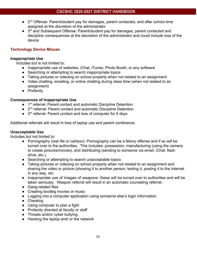- 2<sup>nd</sup> Offense: Parent/student pay for damages, parent contacted, and after school time assigned at the discretion of the administrator
- 3<sup>rd</sup> and Subsequent Offense: Parent/student pay for damages, parent contacted and discipline consequences at the discretion of the administrator and could include loss of the device

# **Technology Device Misuse**

### **Inappropriate Use**

Includes but is not limited to:

- Inappropriate use of websites, iChat, iTunes, Photo Booth, or any software
- Searching or attempting to search inappropriate topics
- Taking pictures or videoing on school property when not related to an assignment
- Video chatting, emailing, or online chatting during class time (when not related to an assignment)
- Profanity

# **Consequences of Inappropriate Use**

- 1<sup>st</sup> referral- Parent contact and automatic Discipline Detention
- 2<sup>nd</sup> referral- Parent contact and automatic Discipline Detention
- 3<sup>rd</sup> referral- Parent contact and loss of computer for 5 days

Additional referrals will result in loss of laptop use and parent conference.

# **Unacceptable Use**

Includes but not limited to:

- Pornography (real life or cartoon)- Pornography can be a felony offense and if so will be turned over to the authorities. This includes: possession, manufacturing (using the camera to create pictures/movies), and distributing (sending to someone via email, iChat, flash drive, etc.).
- Searching or attempting to search unacceptable topics
- Taking pictures or videoing on school property when not related to an assignment and sharing the video or picture (showing it to another person, texting it, posting it to the Internet in any way, etc.
- Inappropriate use of images of weapons- these will be turned over to authorities and will be taken seriously. Weapon referral will result in an automatic counseling referral.
- Gang-related files
- Creating bootleg movies or music
- Logging into a computer application using someone else's login information
- Cheating
- Using computer to plan a fight
- Profanity directed at faculty or staff
- Threats and/or cyber bullying
- Hacking the laptop and/ or the network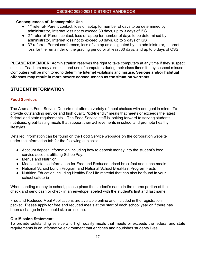#### **Consequences of Unacceptable Use**

- 1<sup>st</sup> referral- Parent contact, loss of laptop for number of days to be determined by administrator, Internet loss not to exceed 30 days, up to 3 days of ISS
- 2<sup>nd</sup> referral- Parent contact, loss of laptop for number of days to be determined by administrator, Internet loss not to exceed 30 days, up to 5 days of ISS
- 3<sup>rd</sup> referral- Parent conference, loss of laptop as designated by the administrator, Internet loss for the remainder of the grading period or at least 30 days, and up to 5 days of OSS

**PLEASE REMEMBER:** Administration reserves the right to take computers at any time if they suspect misuse. Teachers may also suspend use of computers during their class times if they suspect misuse. Computers will be monitored to determine Internet violations and misuse. **Serious and/or habitual offenses may result in more severe consequences as the situation warrants.**

# **STUDENT INFORMATION**

# **Food Services**

The Aramark Food Service Department offers a variety of meal choices with one goal in mind: To provide outstanding service and high quality "kid-friendly" meals that meets or exceeds the latest federal and state requirements. The Food Service staff is looking forward to serving students nutritious, great-tasting meals that support their achievements in school and promote healthy lifestyles.

Detailed information can be found on the Food Service webpage on the corporation website under the information tab for the following subjects:

- Account deposit information including how to deposit money into the student's food service account utilizing SchoolPay.
- Menus and Nutrition
- Meal assistance information for Free and Reduced priced breakfast and lunch meals
- National School Lunch Program and National School Breakfast Program Facts
- Nutrition Education including Healthy For Life material that can also be found in your school cafeteria

When sending money to school, please place the student's name in the memo portion of the check and send cash or check in an envelope labeled with the student's first and last name.

Free and Reduced Meal Applications are available online and included in the registration packet. Please apply for free and reduced meals at the start of each school year or if there has been a change in household size or income.

#### **Our Mission Statement:**

To provide outstanding service and high quality meals that meets or exceeds the federal and state requirements in an informative environment that enriches and nourishes students lives.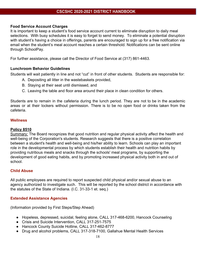### **Food Service Account Charges**

It is important to keep a student's food service account current to eliminate disruption to daily meal selections. With busy schedules it is easy to forget to send money. To eliminate a potential disruption with student's having a choice in offerings, parents are encouraged to sign up for a free notification via email when the student's meal account reaches a certain threshold. Notifications can be sent online through SchoolPay.

For further assistance, please call the Director of Food Service at (317) 861-4463.

### **Lunchroom Behavior Guidelines**

Students will wait patiently in line and not "cut" in front of other students. Students are responsible for:

- A. Depositing all litter in the wastebaskets provided,
- B. Staying at their seat until dismissed, and
- C. Leaving the table and floor area around their place in clean condition for others.

Students are to remain in the cafeteria during the lunch period. They are not to be in the academic areas or at their lockers without permission. There is to be no open food or drinks taken from the cafeteria.

### **Wellness**

#### **Policy 8510**

Summary: The Board recognizes that good nutrition and regular physical activity affect the health and well-being of the Corporation's students. Research suggests that there is a positive correlation between a student's health and well-being and his/her ability to learn. Schools can play an important role in the developmental process by which students establish their health and nutrition habits by providing nutritious meals and snacks through the schools' meal programs, by supporting the development of good eating habits, and by promoting increased physical activity both in and out of school.

#### **Child Abuse**

All public employees are required to report suspected child physical and/or sexual abuse to an agency authorized to investigate such. This will be reported by the school district in accordance with the statutes of the State of Indiana. (I.C. 31-33-1 et. seq.)

#### **Extended Assistance Agencies**

(Information provided by First Steps/Step Ahead)

- Hopeless, depressed, suicidal, feeling alone, CALL 317-468-6200, Hancock Counseling
- Crisis and Suicide Intervention, CALL 317-251-7575
- Hancock County Suicide Hotline, CALL 317-462-8777
- Drug and alcohol problems, CALL 317-318-7100, Gallahue Mental Health Services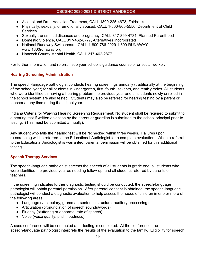- Alcohol and Drug Addiction Treatment, CALL 1800-225-4673, Fairbanks
- Physically, sexually, or emotionally abused, CALL 1-800-800-5556, Department of Child **Services**
- Sexually transmitted diseases and pregnancy, CALL 317-899-4731, Planned Parenthood
- Domestic Violence, CALL 317-462-8777, Alternatives Incorporated
- National Runaway Switchboard, CALL 1-800-786-2929 1-800-RUNAWAY [www.1800runaway.org](http://www.1800runaway.org/)
- Hancock County Mental Health, CALL 317-462-2877

For further information and referral, see your school's guidance counselor or social worker.

# **Hearing Screening Administration**

The speech-language pathologist conducts hearing screenings annually (traditionally at the beginning of the school year) for all students in kindergarten, first, fourth, seventh, and tenth grades. All students who were identified as having a hearing problem the previous year and all students newly enrolled in the school system are also tested. Students may also be referred for hearing testing by a parent or teacher at any time during the school year.

Indiana Criteria for Waiving Hearing Screening Requirement: No student shall be required to submit to a hearing test if written objection by the parent or guardian is submitted to the school principal prior to testing. (This must be submitted annually).

Any student who fails the hearing test will be rechecked within three weeks. Failures upon re-screening will be referred to the Educational Audiologist for a complete evaluation. When a referral to the Educational Audiologist is warranted, parental permission will be obtained for this additional testing.

# **Speech Therapy Services**

The speech-language pathologist screens the speech of all students in grade one, all students who were identified the previous year as needing follow-up, and all students referred by parents or teachers.

If the screening indicates further diagnostic testing should be conducted, the speech-language pathologist will obtain parental permission. After parental consent is obtained, the speech-language pathologist will conduct a diagnostic evaluation to help assess the needs of children in one or more of the following areas:

- Language (vocabulary, grammar, sentence structure, auditory processing)
- Articulation (pronunciation of speech sounds/words)
- Fluency (stuttering or abnormal rate of speech)
- Voice (voice quality, pitch, loudness)

A case conference will be conducted after testing is completed. At the conference, the speech-language pathologist interprets the results of the evaluation to the family. Eligibility for speech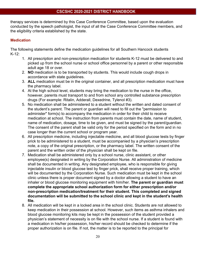therapy services is determined by this Case Conference Committee, based upon the evaluation conducted by the speech pathologist, the input of all the Case Conference Committee members, and the eligibility criteria established by the state.

# **Medication**

The following statements define the medication guidelines for all Southern Hancock students K-12:

- 1. All prescription and non-prescription medication for students K-12 must be delivered to and picked up from the school nurse or school office personnel by a parent or other responsible adult age 18 or over.
- 2. **NO** medication is to be transported by students. This would include cough drops in accordance with state guidelines.
- 3. **ALL** medication must be in the original container, and all prescription medication must have the pharmacy label.
- 4. At the high school level, students may bring the medication to the nurse in the office, however, parents must transport to and from school any controlled substance prescription drugs (For example: Ritalin, Adderall, Dexedrine, Tylenol #3).
- 5. No medication shall be administered to a student without the written and dated consent of the student's parent. The parent or guardian will need to fill out the "permission to administer" form(s) to accompany the medication in order for their child to receive medication at school. The instruction from parents must contain the date, name of student, name of medication, dosage, time to be given, and must be signed by the parent/guardian. The consent of the parent shall be valid only for the period specified on the form and in no case longer than the current school or program year.
- 6. All prescription medicine, including injectable medicine, and all blood glucose tests by finger prick to be administered to a student, must be accompanied by a physician's prescription note, a copy of the original prescription, or the pharmacy label. The written consent of the parent and the written order of the physician shall be kept on file.
- 7. Medication shall be administered only by a school nurse, clinic assistant, or other employee(s) designated in writing by the Corporation Nurse. All administration of medicine shall be documented in writing. Any designated employee, who is responsible for giving injectable insulin or blood glucose test by finger prick, shall receive proper training, which will be documented by the Corporation Nurse. Such medication must be kept in the school clinic unless there is proper document signed by a doctor allowing a student to have an inhaler or blood glucose monitoring equipment with him/her. **The parent or guardian must complete the appropriate school authorization form for either prescription and/or non-prescription medication/treatment for their student. This completed and signed documentation will be submitted to the school clinic and kept in the student's health file.**
- 8. All medication will be kept in a locked area in the school clinic. Students are not allowed to keep medication in their possession at school. However, such items as asthma inhalers and blood glucose monitoring kits may be kept in the possession of the student provided a physician's statement of necessity is on file with the school nurse. If a student is found with a medication in his/her possession, his/her record should be checked to determine if the proper authorization is on file. If not, the matter is to be reported to the principal for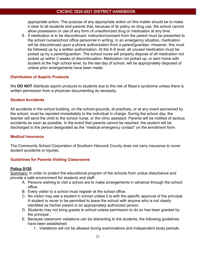appropriate action. The purpose of any appropriate action on this matter should be to make it clear to all students and parents that, because of its policy on drug use, the school cannot allow possession or use of any form of unauthorized drug or medication at any time.

9. If medication is to be discontinued, instruction/consent from the parent must be presented to the school nurse/school office personnel in writing. In an emergency situation, medication will be discontinued upon a phone authorization from a parent/guardian. However, this must be followed up by a written authorization. At the K-8 level, all unused medication must be picked up by a parent/guardian. The school nurse will properly dispose of all medication not picked up within 2 weeks of discontinuation. Medication not picked up, or sent home with student at the high school level, by the last day of school, will be appropriately disposed of unless prior arrangements have been made.

### **Distribution of Aspirin Products**

We **DO NOT** distribute aspirin products to students due to the risk of Reye's syndrome unless there is written permission from a physician documenting its necessity.

### **Student Accidents**

All accidents in the school building, on the school grounds, at practices, or at any event sponsored by the school, must be reported immediately to the individual in charge. During the school day, the teacher will send the child to the school nurse, or the clinic assistant. Parents will be notified of serious accidents as soon as possible. In the event that parents cannot be reached, the student will be discharged to the person designated as the "medical emergency contact" on the enrollment form.

#### **Medical Insurance**

The Community School Corporation of Southern Hancock County does not carry insurance to cover student accidents or injuries.

#### **Guidelines for Parents Visiting Classrooms**

#### **Policy 9150**

Summary: In order to protect the educational program of the schools from undue disturbance and provide a safe environment for students and staff:

- A. Persons wishing to visit a school are to make arrangements in advance through the school office.
- B. Every visitor to a school must register at the school office.
- C. No visitor may see a student in school unless it is with the specific approval of the principal. A student is never to be permitted to leave the school with anyone who is not clearly identified as his/her parent or an appropriately authorized person.
- D. Students may not bring guests to school unless permission to do so has been granted by the principal.
- E. Because classroom visitations can be distracting to the students, the following guidelines have been established:
	- 1. Visitations will not be allowed during examinations and independent study periods.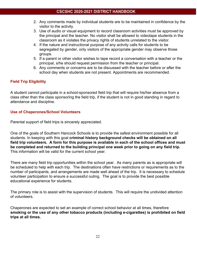- 2. Any comments made by individual students are to be maintained in confidence by the visitor to the activity.
- 3. Use of audio or visual equipment to record classroom activities must be approved by the principal and the teacher. No visitor shall be allowed to videotape students in the classroom as it violates the privacy rights of students unrelated to the visitor.
- 4. If the nature and instructional purpose of any activity calls for students to be segregated by gender, only visitors of the appropriate gender may observe those groups.
- 5. If a parent or other visitor wishes to tape record a conversation with a teacher or the principal, s/he should request permission from the teacher or principal.
- 6. Any comments or concerns are to be discussed with the teacher before or after the school day when students are not present. Appointments are recommended.

# **Field Trip Eligibility**

A student cannot participate in a school-sponsored field trip that will require his/her absence from a class other than the class sponsoring the field trip, if the student is not in good standing in regard to attendance and discipline.

### **Use of Chaperones/School Volunteers**

Parental support of field trips is sincerely appreciated.

One of the goals of Southern Hancock Schools is to provide the safest environment possible for all students. In keeping with this goal **criminal history background checks will be obtained on all field trip volunteers. A form for this purpose is available in each of the school offices and must be completed and returned to the building principal one week prior to going on any field trip.** This information will be valid for the current school year.

There are many field trip opportunities within the school year. As many parents as is appropriate will be scheduled to help with each trip. The destinations often have restrictions or requirements as to the number of participants, and arrangements are made well ahead of the trip. It is necessary to schedule volunteer participation to ensure a successful outing. The goal is to provide the best possible educational experience for students.

The primary role is to assist with the supervision of students. This will require the undivided attention of volunteers.

Chaperones are expected to set an example of correct school behavior at all times, therefore **smoking or the use of any other tobacco products (including e-cigarettes) is prohibited on field trips at all times.**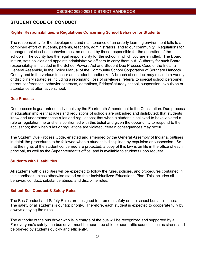# **STUDENT CODE OF CONDUCT**

# **Rights, Responsibilities, & Regulations Concerning School Behavior for Students**

The responsibility for the development and maintenance of an orderly learning environment falls to a combined effort of students, parents, teachers, administrators, and to our community. Regulations for management of school behavior must be outlined by those responsible for the operation of the schools. The county has the legal responsibility for the school in which you are enrolled. The Board, in turn, sets policies and appoints administrative officers to carry them out. Authority for such Board responsibility is included in the School Powers Act and Student Due Process Code of the Indiana General Assembly, in the Policy Manual of the Community School Corporation of Southern Hancock County and in the various teacher and student handbooks. A breach of conduct may result in a variety of disciplinary strategies including a reprimand, loss of privileges, referral to special school personnel, parent conferences, behavior contracts, detentions, Friday/Saturday school, suspension, expulsion or attendance at alternative school.

#### **Due Process**

Due process is guaranteed individuals by the Fourteenth Amendment to the Constitution. Due process in education implies that rules and regulations of schools are published and distributed; that students know and understand these rules and regulations; that when a student is believed to have violated a rule or regulation, he or she is confronted with this belief and given the opportunity to respond to the accusation; that when rules or regulations are violated, certain consequences may occur.

The Student Due Process Code, enacted and amended by the General Assembly of Indiana, outlines in detail the procedures to be followed when a student is disciplined by expulsion or suspension. So that the rights of the student concerned are protected, a copy of this law is on file in the office of each principal, as well as the Superintendent's office, and is available to students upon request.

#### **Students with Disabilities**

All students with disabilities will be expected to follow the rules, policies, and procedures contained in this handbook unless otherwise stated on their Individualized Educational Plan. This includes all behavior, conduct, substance abuse, and discipline rules.

#### **School Bus Conduct & Safety Rules**

The Bus Conduct and Safety Rules are designed to promote safety on the school bus at all times. The safety of all students is our top priority. Therefore, each student is expected to cooperate fully by always obeying the rules.

The authority of the bus driver who is in charge of the bus will be recognized and supported by all. For everyone's safety, the bus driver must be heard, be able to hear traffic sounds such as sirens, and be obeyed by students quickly and efficiently.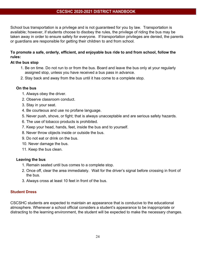School bus transportation is a privilege and is not guaranteed for you by law. Transportation is available; however, if students choose to disobey the rules, the privilege of riding the bus may be taken away in order to ensure safety for everyone. If transportation privileges are denied, the parents or guardians are responsible for getting their children to and from school.

# **To promote a safe, orderly, efficient, and enjoyable bus ride to and from school, follow the rules:**

# **At the bus stop**

- 1. Be on time. Do not run to or from the bus. Board and leave the bus only at your regularly assigned stop, unless you have received a bus pass in advance.
- 2. Stay back and away from the bus until it has come to a complete stop.

#### **On the bus**

- 1. Always obey the driver.
- 2. Observe classroom conduct.
- 3. Stay in your seat.
- 4. Be courteous and use no profane language.
- 5. Never push, shove, or fight; that is always unacceptable and are serious safety hazards.
- 6. The use of tobacco products is prohibited.
- 7. Keep your head, hands, feet, inside the bus and to yourself.
- 8. Never throw objects inside or outside the bus.
- 9. Do not eat or drink on the bus.
- 10. Never damage the bus.
- 11. Keep the bus clean.

#### **Leaving the bus**

- 1. Remain seated until bus comes to a complete stop.
- 2. Once off, clear the area immediately. Wait for the driver's signal before crossing in front of the bus.
- 3. Always cross at least 10 feet in front of the bus.

# **Student Dress**

CSCSHC students are expected to maintain an appearance that is conducive to the educational atmosphere. Whenever a school official considers a student's appearance to be inappropriate or distracting to the learning environment, the student will be expected to make the necessary changes.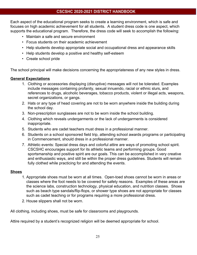Each aspect of the educational program seeks to create a learning environment, which is safe and focuses on high academic achievement for all students. A student dress code is one aspect, which supports the educational program. Therefore, the dress code will seek to accomplish the following:

- Maintain a safe and secure environment
- Focus students on their academic achievement
- Help students develop appropriate social and occupational dress and appearance skills
- Help students develop a positive and healthy self-esteem
- Create school pride

The school principal will make decisions concerning the appropriateness of any new styles in dress.

# **General Expectations**

- 1. Clothing or accessories displaying (disruptive) messages will not be tolerated. Examples include messages containing profanity, sexual innuendo, racial or ethnic slurs, and references to drugs, alcoholic beverages, tobacco products, violent or illegal acts, weapons, secret organizations, or gangs.
- 2. Hats or any type of head covering are not to be worn anywhere inside the building during the school day.
- 3. Non-prescription sunglasses are not to be worn inside the school building.
- 4. Clothing which reveals undergarments or the lack of undergarments is considered inappropriate.
- 5. Students who are cadet teachers must dress in a professional manner.
- 6. Students on a school sponsored field trip, attending school awards programs or participating in Commencement, should dress in a professional manner.
- 7. Athletic events: Special dress days and colorful attire are ways of promoting school spirit. CSCSHC encourages support for its athletic teams and performing groups. Good sportsmanship and positive spirit are our goals. This can be accomplished in very creative and enthusiastic ways, and still be within the proper dress guidelines. Students will remain fully clothed while practicing for and attending the events.

# **Shoes**

- 1. Appropriate shoes must be worn at all times. Open-toed shoes cannot be worn in areas or classes where the foot needs to be covered for safety reasons. Examples of these areas are the science labs, construction technology, physical education, and nutrition classes. Shoes such as beach type sandals/flip-flops, or shower type shoes are not appropriate for classes such as cadet teaching or for programs requiring a more professional dress.
- 2. House slippers shall not be worn.

All clothing, including shoes, must be safe for classrooms and playgrounds.

Attire required by a student's recognized religion will be deemed appropriate for school.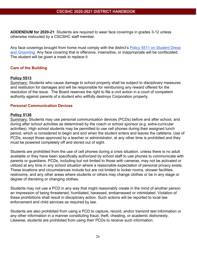**ADDENDUM for 2020-21**: Students are required to wear face coverings in grades 3-12 unless otherwise instructed by a CSCSHC staff member.

Any face coverings brought from home must comply with the district's **[Policy 5511 on Student Dress](http://go.boarddocs.com/in/shanc/Board.nsf/goto?open&id=BBTH7545B14D)** [and Grooming.](http://go.boarddocs.com/in/shanc/Board.nsf/goto?open&id=BBTH7545B14D) Any face covering that is offensive, insensitive, or inappropriate will be confiscated. The student will be given a mask to replace it.

# **Care of the Building**

### **Policy 5513**

Summary: Students who cause damage to school property shall be subject to disciplinary measures and restitution for damages and will be responsible for reimbursing any reward offered for the resolution of the issue. The Board reserves the right to file a civil action in a court of competent authority against parents of a student who willfully destroys Corporation property.

#### **Personal Communication Devices**

#### **Policy 5136**

Summary: Students may use personal communication devices (PCDs) before and after school, and during after school activities as determined by the coach or school sponsor (e.g. extra-curricular activities). High school students may be permitted to use cell phones during their assigned lunch period, which is considered to begin and end when the student enters and leaves the cafeteria. Use of PCDs, except those approved by a teacher or administrator, at any other time is prohibited and they must be powered completely off and stored out of sight.

Students are prohibited from the use of cell phones during a crisis situation, unless there is no adult available or they have been specifically authorized by school staff to use phones to communicate with parents or guardians. PCDs, including but not limited to those with cameras, may not be activated or utilized at any time in any school situation where a reasonable expectation of personal privacy exists. These locations and circumstances include but are not limited to locker rooms, shower facilities, restrooms, and any other areas where students or others may change clothes or be in any stage or degree of disrobing or changing clothes.

Students may not use a PCD in any way that might reasonably create in the mind of another person an impression of being threatened, humiliated, harassed, embarrassed or intimidated. Violation of these prohibitions shall result in disciplinary action. Such actions will be reported to local law enforcement and child services as required by law.

Students are also prohibited from using a PCD to capture, record, and/or transmit test information or any other information in a manner constituting fraud, theft, cheating, or academic dishonesty. Likewise, students are prohibited from using their PCDs to receive such information.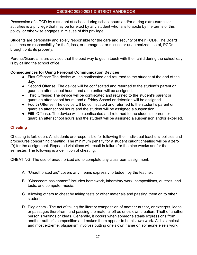Possession of a PCD by a student at school during school hours and/or during extra-curricular activities is a privilege that may be forfeited by any student who fails to abide by the terms of this policy, or otherwise engages in misuse of this privilege.

Students are personally and solely responsible for the care and security of their PCDs. The Board assumes no responsibility for theft, loss, or damage to, or misuse or unauthorized use of, PCDs brought onto its property.

Parents/Guardians are advised that the best way to get in touch with their child during the school day is by calling the school office.

# **Consequences for Using Personal Communication Devices**

- First Offense: The device will be confiscated and returned to the student at the end of the day.
- Second Offense: The device will be confiscated and returned to the student's parent or guardian after school hours, and a detention will be assigned.
- Third Offense: The device will be confiscated and returned to the student's parent or guardian after school hours, and a Friday School or detention will be assigned.
- Fourth Offense: The device will be confiscated and returned to the student's parent or guardian after school hours and the student will be assigned a suspension.
- Fifth Offense: The device will be confiscated and returned to the student's parent or guardian after school hours and the student will be assigned a suspension and/or expelled.

# **Cheating**

Cheating is forbidden. All students are responsible for following their individual teachers' policies and procedures concerning cheating. The minimum penalty for a student caught cheating will be a zero (0) for the assignment. Repeated violations will result in failure for the nine weeks and/or the semester. The following is a definition of cheating:

CHEATING: The use of unauthorized aid to complete any classroom assignment.

- A. "Unauthorized aid" covers any means expressly forbidden by the teacher.
- B. "Classroom assignment" includes homework, laboratory work, compositions, quizzes, and tests, and computer media.
- C. Allowing others to cheat by taking tests or other materials and passing them on to other students.
- D. Plagiarism The act of taking the literary composition of another author, or excerpts, ideas, or passages therefrom, and passing the material off as one's own creation. Theft of another person's writings or ideas. Generally, it occurs when someone steals expressions from another author's composition and makes them appear to be his own work. At its simplest and most extreme, plagiarism involves putting one's own name on someone else's work;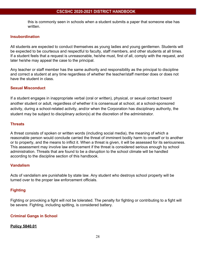this is commonly seen in schools when a student submits a paper that someone else has written.

#### **Insubordination**

All students are expected to conduct themselves as young ladies and young gentlemen. Students will be expected to be courteous and respectful to faculty, staff members, and other students at all times. If a student feels that a request is unreasonable, he/she must, first of all, comply with the request, and later he/she may appeal the case to the principal.

Any teacher or staff member has the same authority and responsibility as the principal to discipline and correct a student at any time regardless of whether the teacher/staff member does or does not have the student in class.

### **Sexual Misconduct**

If a student engages in inappropriate verbal (oral or written), physical, or sexual contact toward another student or adult, regardless of whether it is consensual at school, at a school-sponsored activity, during a school-related activity, and/or when the Corporation has disciplinary authority, the student may be subject to disciplinary action(s) at the discretion of the administrator.

# **Threats**

A threat consists of spoken or written words (including social media), the meaning of which a reasonable person would conclude carried the threat of imminent bodily harm to oneself or to another or to property, and the means to inflict it. When a threat is given, it will be assessed for its seriousness. This assessment may involve law enforcement if the threat is considered serious enough by school administration. Threats that are found to be a disruption to the school climate will be handled according to the discipline section of this handbook.

#### **Vandalism**

Acts of vandalism are punishable by state law. Any student who destroys school property will be turned over to the proper law enforcement officials.

# **Fighting**

Fighting or provoking a fight will not be tolerated. The penalty for fighting or contributing to a fight will be severe. Fighting, including spitting, is considered battery.

# **Criminal Gangs in School**

#### **Policy 5840.01**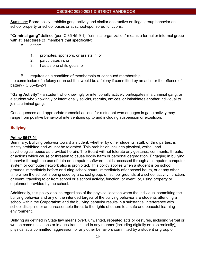Summary: Board policy prohibits gang activity and similar destructive or illegal group behavior on school property or school buses or at school-sponsored functions.

**"Criminal gang"** defined (per IC 35-45-9-1)- "criminal organization" means a formal or informal group with at least three (3) members that specifically:

- A. either:
	- 1. promotes, sponsors, or assists in; or
	- 2. participates in; or
	- 3. has as one of its goals; or

B. requires as a condition of membership or continued membership; the commission of a felony or an act that would be a felony if committed by an adult or the offense of battery (IC 35-42-2-1).

**"Gang Activity"** - a student who knowingly or intentionally actively participates in a criminal gang, or a student who knowingly or intentionally solicits, recruits, entices, or intimidates another individual to join a criminal gang.

Consequences and appropriate remedial actions for a student who engages in gang activity may range from positive behavioral interventions up to and including suspension or expulsion.

# **Bullying**

#### **Policy 5517.01**

Summary: Bullying behavior toward a student, whether by other students, staff, or third parties, is strictly prohibited and will not be tolerated. This prohibition includes physical, verbal, and psychological abuse as provided herein. The Board will not tolerate any gestures, comments, threats, or actions which cause or threaten to cause bodily harm or personal degradation. Engaging in bullying behavior through the use of data or computer software that is accessed through a computer, computer system or computer network also is prohibited. This policy applies when a student is on school grounds immediately before or during school hours, immediately after school hours, or at any other time when the school is being used by a school group; off school grounds at a school activity, function, or event; traveling to or from school or a school activity, function, or event; or, using property or equipment provided by the school.

Additionally, this policy applies regardless of the physical location when the individual committing the bullying behavior and any of the intended targets of the bullying behavior are students attending a school within the Corporation; and the bullying behavior results in a substantial interference with school discipline or an unreasonable threat to the rights of others to a safe and peaceful learning environment.

Bullying as defined in State law means overt, unwanted, repeated acts or gestures, including verbal or written communications or images transmitted in any manner (including digitally or electronically), physical acts committed, aggression, or any other behaviors committed by a student or group of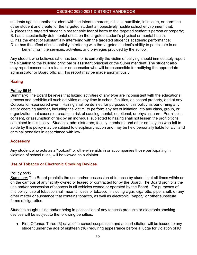students against another student with the intent to harass, ridicule, humiliate, intimidate, or harm the other student and create for the targeted student an objectively hostile school environment that:

- A. places the targeted student in reasonable fear of harm to the targeted student's person or property;
- B. has a substantially detrimental effect on the targeted student's physical or mental health;
- C. has the effect of substantially interfering with the targeted student's academic performance;
- D. or has the effect of substantially interfering with the targeted student's ability to participate in or benefit from the services, activities, and privileges provided by the school.

Any student who believes s/he has been or is currently the victim of bullying should immediately report the situation to the building principal or assistant principal or the Superintendent. The student also may report concerns to a teacher or counselor who will be responsible for notifying the appropriate administrator or Board official. This report may be made anonymously.

# **Hazing**

### **Policy 5516**

Summary: The Board believes that hazing activities of any type are inconsistent with the educational process and prohibits all such activities at any time in school facilities, on school property, and at any Corporation-sponsored event. Hazing shall be defined for purposes of this policy as performing any act or coercing another, including the victim, to perform any act of initiation into any class, group, or organization that causes or creates a risk of causing mental, emotional, or physical harm. Permission, consent, or assumption of risk by an individual subjected to hazing shall not lessen the prohibitions contained in this policy. Students, administrators, faculty members, and other employees who fail to abide by this policy may be subject to disciplinary action and may be held personally liable for civil and criminal penalties in accordance with law.

# **Accessory**

Any student who acts as a "lookout" or otherwise aids in or accompanies those participating in violation of school rules, will be viewed as a violator.

# **Use of Tobacco or Electronic Smoking Devices**

#### **Policy 5512**

Summary: The Board prohibits the use and/or possession of tobacco by students at all times within or on the campus of any facility owned or leased or contracted for by the Board. The Board prohibits the use and/or possession of tobacco in all vehicles owned or operated by the Board. For purposes of this policy, use of tobacco shall mean all uses of tobacco, including cigar, cigarette, pipe, snuff, or any other matter or substance that contains tobacco, as well as electronic, "vapor," or other substitute forms of cigarettes.

Students caught using and/or being in possession of any tobacco products or electronic smoking devices will be subject to the following penalties:

● First Offense: Three (3) days of in-school suspension and a court citation will be issued to any student under the age of eighteen (18) requiring appearance before a judge for violation of IC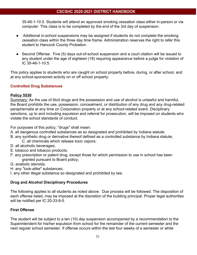35-46-1-10.5. Students will attend an approved smoking cessation class either in-person or via computer. This class is to be completed by the end of the 3rd day of suspension.

- Additional in-school suspensions may be assigned if students do not complete the smoking cessation class within the three day time frame. Administration reserves the right to refer this student to Hancock County Probation.
- Second Offense: Five (5) days out-of-school suspension and a court citation will be issued to any student under the age of eighteen (18) requiring appearance before a judge for violation of IC 35-46-1-10.5.

This policy applies to students who are caught on school property before, during, or after school, and at any school-sponsored activity on or off school property.

# **Controlled Drug Substances**

# **Policy 5530**

Summary: As the use of illicit drugs and the possession and use of alcohol is unlawful and harmful, the Board prohibits the use, possession, concealment, or distribution of any drug and any drug-related paraphernalia at any time on Corporation property or at any school-related event. Disciplinary sanctions, up to and including expulsion and referral for prosecution, will be imposed on students who violate the school standards of conduct.

For purposes of this policy, "drugs" shall mean:

- A. all dangerous controlled substances as so designated and prohibited by Indiana statute;
- B. any synthetic drug or derivative thereof defined as a controlled substance by Indiana statute;
	- C. all chemicals which release toxic vapors;
- D. all alcoholic beverages;
- E. tobacco and tobacco products;
- F. any prescription or patent drug, except those for which permission to use in school has been granted pursuant to Board policy;
- G. anabolic steroids;
- H. any "look-alike" substances;
- I. any other illegal substance so designated and prohibited by law.

# **Drug and Alcohol Disciplinary Procedures**

The following applies to all students as noted above. Due process will be followed. The disposition of each offense listed, may be imposed at the discretion of the building principal. Proper legal authorities will be notified per IC 20-33-9-5.

# **First Offense**

The student will be subject to a ten (10) day suspension accompanied by a recommendation to the Superintendent for his/her expulsion from school for the remainder of the current semester and the next regular school semester. If offense occurs within the last four weeks of a semester or while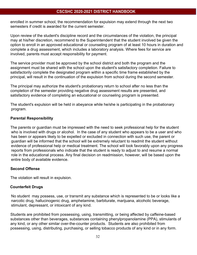enrolled in summer school, the recommendation for expulsion may extend through the next two semesters if credit is awarded for the current semester.

Upon review of the student's discipline record and the circumstances of the violation, the principal may at his/her discretion, recommend to the Superintendent that the student involved be given the option to enroll in an approved educational or counseling program of at least 10 hours in duration and complete a drug assessment, which includes a laboratory analysis. Where fees for service are involved, parents must accept responsibility for payment.

The service provider must be approved by the school district and both the program and the assignment must be shared with the school upon the student's satisfactory completion. Failure to satisfactorily complete the designated program within a specific time frame established by the principal, will result in the continuation of the expulsion from school during the second semester.

The principal may authorize the student's probationary return to school after no less than the completion of the semester providing negative drug assessment results are presented, and satisfactory evidence of completing an educational or counseling program is presented.

The student's expulsion will be held in abeyance while he/she is participating in the probationary program.

# **Parental Responsibility**

The parents or guardian must be impressed with the need to seek professional help for the student who is involved with drugs or alcohol. In the case of any student who appears to be a user and who has been or appears likely to be expelled or excluded in connection with such use, the parent or guardian will be informed that the school will be extremely reluctant to readmit the student without evidence of professional help or medical treatment. The school will look favorably upon any progress reports from professionals who indicate that the student is ready to adjust to and resume a normal role in the educational process. Any final decision on readmission, however, will be based upon the entire body of available evidence.

# **Second Offense**

The violation will result in expulsion.

#### **Counterfeit Drugs**

No student may possess, use, or transmit any substance which is represented to be or looks like a narcotic drug, hallucinogenic drug, amphetamine, barbiturate, marijuana, alcoholic beverage, stimulant, depressant, or intoxicant of any kind.

Students are prohibited from possessing, using, transmitting, or being affected by caffeine-based substances other than beverages, substances containing phenylpropanolamine (PPA), stimulants of any kind, or any other similar over-the-counter products. Students are also prohibited from possessing, using, distributing, purchasing, or selling tobacco products of any kind or in any form.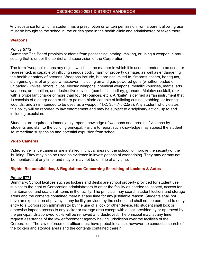Any substance for which a student has a prescription or written permission from a parent allowing use must be brought to the school nurse or designee in the health clinic and administered or taken there.

### **Weapons**

#### **Policy 5772**

Summary: The Board prohibits students from possessing, storing, making, or using a weapon in any setting that is under the control and supervision of the Corporation.

The term "weapon" means any object which, in the manner in which it is used, intended to be used, or represented, is capable of inflicting serious bodily harm or property damage, as well as endangering the health or safety of persons. Weapons include, but are not limited to, firearms, tasers, handguns, stun guns, guns of any type whatsoever, including air and gas-powered guns (whether loaded or unloaded), knives, razors, clubs, electric weapons, chemical weapons, metallic knuckles, martial arts weapons, ammunition, and destructive devices (bombs, incendiary, grenade, Molotov cocktail, rocket with a propellant charge of more than four (4) ounces, etc.). A "knife" is defined as "an instrument that: 1) consists of a sharp edge or sharp pointed blade capable of inflicting cutting, stabbing, or tearing wounds; and 2) is intended to be used as a weapon." I.C. 35-47-5-2.5(a). Any student who violates this policy will be reported to law enforcement and may be subject to disciplinary action, up to and including expulsion.

Students are required to immediately report knowledge of weapons and threats of violence by students and staff to the building principal. Failure to report such knowledge may subject the student to immediate suspension and potential expulsion from school.

#### **Video Cameras**

Video surveillance cameras are installed in critical areas of the school to improve the security of the building. They may also be used as evidence in investigations of wrongdoing. They may or may not be monitored at any time, and may or may not be on-line at any time.

# **Rights, Responsibilities, & Regulations Concerning Searching of Lockers & Autos**

#### **Policy 5771**

Summary: School facilities such as lockers and desks are school property provided for student use subject to the right of Corporation administrators to enter the facility as needed to inspect, access for maintenance, and search all items in the facility. The principal may search student lockers and storage areas and the contents contained therein at any time for any justifiable reason. Students shall not have an expectation of privacy in any facility provided by the school and shall not be permitted to deny entry to a Corporation administrator by the use of a lock or other device. No student shall lock or otherwise impede access to any locker or storage area except with a lock provided by or approved by the principal. Unapproved locks will be removed and destroyed. The principal may, at any time, request assistance of the law enforcement agency having jurisdiction over the facilities of the Corporation. The law enforcement officer must have probable cause, however, to conduct a search of the lockers and storage areas and the contents contained therein.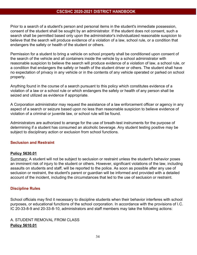Prior to a search of a student's person and personal items in the student's immediate possession, consent of the student shall be sought by an administrator. If the student does not consent, such a search shall be permitted based only upon the administrator's individualized reasonable suspicion to believe that the search will produce evidence of a violation of a law, school rule, or a condition that endangers the safety or health of the student or others.

Permission for a student to bring a vehicle on school property shall be conditioned upon consent of the search of the vehicle and all containers inside the vehicle by a school administrator with reasonable suspicion to believe the search will produce evidence of a violation of law, a school rule, or a condition that endangers the safety or health of the student driver or others. The student shall have no expectation of privacy in any vehicle or in the contents of any vehicle operated or parked on school property.

Anything found in the course of a search pursuant to this policy which constitutes evidence of a violation of a law or a school rule or which endangers the safety or health of any person shall be seized and utilized as evidence if appropriate.

A Corporation administrator may request the assistance of a law enforcement officer or agency in any aspect of a search or seizure based upon no less than reasonable suspicion to believe evidence of violation of a criminal or juvenile law, or school rule will be found.

Administrators are authorized to arrange for the use of breath-test instruments for the purpose of determining if a student has consumed an alcoholic beverage. Any student testing positive may be subject to disciplinary action or exclusion from school functions.

#### **Seclusion and Restraint**

#### **Policy 5630.01**

Summary: A student will not be subject to seclusion or restraint unless the student's behavior poses an imminent risk of injury to the student or others. However, significant violations of the law, including assaults on students and staff, will be reported to the police. As soon as possible after any use of seclusion or restraint, the student's parent or guardian will be informed and provided with a detailed account of the incident, including the circumstances that led to the use of seclusion or restraint.

# **Discipline Rules**

School officials may find it necessary to discipline students when their behavior interferes with school purposes, or educational functions of the school corporation. In accordance with the provisions of I.C. IC 20-33-8-9 and 20-33-8-10, administrators and staff members may take the following actions:

A. STUDENT REMOVAL FROM CLASS **Policy 5610.01**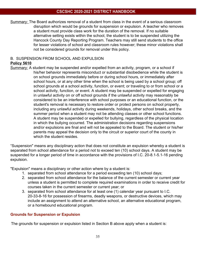Summary: The Board authorizes removal of a student from class in the event of a serious classroom disruption which would be grounds for suspension or expulsion. A teacher who removes a student must provide class work for the duration of the removal. If no suitable alternative setting exists within the school, the student is to be suspended utilizing the Hancock County Day Reporting Program. Teachers may still send students to the office for lesser violations of school and classroom rules however; these minor violations shall not be considered grounds for removal under this policy.

#### B. SUSPENSION FROM SCHOOL AND EXPULSION

# **Policy 5610**

Summary: A student may be suspended and/or expelled from an activity, program, or a school if his/her behavior represents misconduct or substantial disobedience while the student is on school grounds immediately before or during school hours, or immediately after school hours, or at any other time when the school is being used by a school group; off school grounds at a school activity, function, or event; or traveling to or from school or a school activity, function, or event. A student may be suspended or expelled for engaging in unlawful activity on or off school grounds if the unlawful activity may reasonably be considered to be an interference with school purposes or an educational function, or the student's removal is necessary to restore order or protect persons on school property, including any unlawful activity during weekends, holidays, other school breaks, and the summer period when a student may not be attending classes or other school functions. A student may be suspended or expelled for bullying, regardless of the physical location in which the bullying occurred. The administration decisions regarding suspensions and/or expulsions are final and will not be appealed to the Board. The student or his/her parents may appeal the decision only to the circuit or superior court of the county in which the student resides.

"Suspension" means any disciplinary action that does not constitute an expulsion whereby a student is separated from school attendance for a period not to exceed ten (10) school days. A student may be suspended for a longer period of time in accordance with the provisions of I.C. 20-8.1-5.1-16 pending expulsion.

"Expulsion" means a disciplinary or other action where by a student is:

- 1. separated from school attendance for a period exceeding ten (10) school days;
- 2. separated from school attendance for the balance of the current semester or current year unless a student is permitted to complete required examinations in order to receive credit for courses taken in the current semester or current year; or
- 3. separated from school attendance for at least one (1) calendar year pursuant to I.C. 20-33-8-16 for possession of firearms, deadly weapons, or destructive devices, which may include an assignment to attend an alternative school, an alternative educational program, or a homebound educational program.

# **Grounds for Suspension or Expulsion**

The grounds for suspension or expulsion listed in Section B above apply when a student is: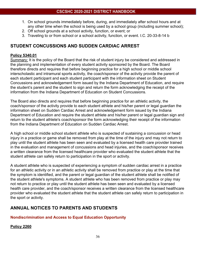- 1. On school grounds immediately before, during, and immediately after school hours and at any other time when the school is being used by a school group (including summer school);
- 2. Off school grounds at a school activity, function, or event; or
- 3. Traveling to or from school or a school activity, function, or event. I.C. 20-33-8-14 b

# **STUDENT CONCUSSIONS AND SUDDEN CARDIAC ARREST**

# **Policy 5340.01**

Summary: It is the policy of the Board that the risk of student injury be considered and addressed in the planning and implementation of every student activity sponsored by the Board. The Board therefore directs and requires that before beginning practice for a high school or middle school interscholastic and intramural sports activity, the coach/sponsor of the activity provide the parent of each student participant and each student participant with the information sheet on Student Concussions and acknowledgement form issued by the Indiana Department of Education, and require the student's parent and the student to sign and return the form acknowledging the receipt of the information from the Indiana Department of Education on Student Concussions.

The Board also directs and requires that before beginning practice for an athletic activity, the coach/sponsor of the activity provide to each student athlete and his/her parent or legal guardian the information sheet on Sudden Cardiac Arrest and acknowledgement form issued by the Indiana Department of Education and require the student athlete and his/her parent or legal guardian sign and return to the student athlete's coach/sponsor the form acknowledging their receipt of the information from the Indiana Department of Education on Sudden Cardiac Arrest.

A high school or middle school student athlete who is suspected of sustaining a concussion or head injury in a practice or game shall be removed from play at the time of the injury and may not return to play until the student athlete has been seen and evaluated by a licensed health care provider trained in the evaluation and management of concussions and head injuries, and the coach/sponsor receives a written clearance from the licensed healthcare provider who evaluated the student athlete that the student athlete can safely return to participation in the sport or activity.

A student athlete who is suspected of experiencing a symptom of sudden cardiac arrest in a practice for an athletic activity or in an athletic activity shall be removed from practice or play at the time that the symptom is identified, and the parent or legal guardian of the student athlete shall be notified of the student athlete's symptoms. A student athlete who has been removed from practice or play may not return to practice or play until the student athlete has been seen and evaluated by a licensed health care provider, and the coach/sponsor receives a written clearance from the licensed healthcare provider who evaluated the student athlete that the student athlete can safely return to participation in the sport or activity.

# **ANNUAL NOTICES TO PARENTS AND STUDENTS**

# **Nondiscrimination and Access to Equal Education Opportunity**

# **Policy 2260**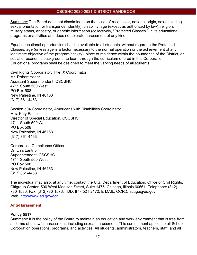Summary: The Board does not discriminate on the basis of race, color, national origin, sex (including sexual orientation or transgender identity), disability, age (except as authorized by law), religion, military status, ancestry, or genetic information (collectively, "Protected Classes") in its educational programs or activities and does not tolerate harassment of any kind.

Equal educational opportunities shall be available to all students, without regard to the Protected Classes, age (unless age is a factor necessary to the normal operation or the achievement of any legitimate objective of the program/activity), place of residence within the boundaries of the District, or social or economic background, to learn through the curriculum offered in this Corporation. Educational programs shall be designed to meet the varying needs of all students.

Civil Rights Coordinator, Title IX Coordinator Mr. Robert Yoder Assistant Superintendent, CSCSHC 4711 South 500 West PO Box 508 New Palestine, IN 46163 (317) 861-4463

Section 504 Coordinator, Americans with Disabilities Coordinator Mrs. Katy Eastes Director of Special Education, CSCSHC 4711 South 500 West PO Box 508 New Palestine, IN 46163 (317) 861-4463

Corporation Compliance Officer: Dr. Lisa Lantrip Superintendent, CSCSHC 4711 South 500 West PO Box 508 New Palestine, IN 46163 (317) 861-4463

The individual may also, at any time, contact the U.S. Department of Education, Office of Civil Rights, Citigroup Center, 500 West Madison Street, Suite 1475, Chicago, Illinois 60661; Telephone: (312) 730-1530; Fax: (312)730-1576; TDD: 877-521-2172; E-MAIL: OCR.Chicago@ed.gov Web: <http://www.ed.gov/ocr>.

# **Anti-Harassment**

# **Policy 5517**

Summary: It is the policy of the Board to maintain an education and work environment that is free from all forms of unlawful harassment, including sexual harassment. This commitment applies to all School Corporation operations, programs, and activities. All students, administrators, teachers, staff, and all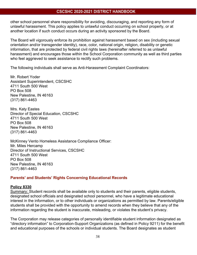other school personnel share responsibility for avoiding, discouraging, and reporting any form of unlawful harassment. This policy applies to unlawful conduct occurring on school property, or at another location if such conduct occurs during an activity sponsored by the Board.

The Board will vigorously enforce its prohibition against harassment based on sex (including sexual orientation and/or transgender identity), race, color, national origin, religion, disability or genetic information, that are protected by federal civil rights laws (hereinafter referred to as unlawful harassment) and encourages those within the School Corporation community as well as third parties who feel aggrieved to seek assistance to rectify such problems.

The following individuals shall serve as Anti-Harassment Complaint Coordinators:

Mr. Robert Yoder Assistant Superintendent, CSCSHC 4711 South 500 West PO Box 508 New Palestine, IN 46163 (317) 861-4463

Mrs. Katy Eastes Director of Special Education, CSCSHC 4711 South 500 West PO Box 508 New Palestine, IN 46163 (317) 861-4463

McKinney Vento Homeless Assistance Compliance Officer: Mr. Miles Hercamp Director of Instructional Services, CSCSHC 4711 South 500 West PO Box 508 New Palestine, IN 46163 (317) 861-4463

# **Parents' and Students' Rights Concerning Educational Records**

#### **Policy 8330**

Summary: Student records shall be available only to students and their parents, eligible students, designated school officials and designated school personnel, who have a legitimate educational interest in the information, or to other individuals or organizations as permitted by law. Parents/eligible students shall be provided with the opportunity to amend records when they believe that any of the information regarding the student is inaccurate, misleading, or violates the student's privacy.

The Corporation may release categories of personally identifiable student information designated as "directory information" to Corporation-Support Organizations (as defined in Policy 9211) for the benefit and educational purposes of the schools or individual students. The Board designates as student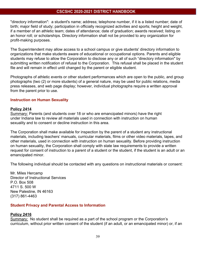"directory information": a student's name; address; telephone number, if it is a listed number; date of birth; major field of study; participation in officially recognized activities and sports; height and weight, if a member of an athletic team; dates of attendance; date of graduation; awards received; listing on an honor roll; or scholarships. Directory information shall not be provided to any organization for profit-making purposes.

The Superintendent may allow access to a school campus or give students' directory information to organizations that make students aware of educational or occupational options. Parents and eligible students may refuse to allow the Corporation to disclose any or all of such "directory information" by submitting written notification of refusal to the Corporation. This refusal shall be placed in the student file and will remain in effect until changed by the parent or eligible student.

Photographs of athletic events or other student performances which are open to the public, and group photographs (two (2) or more students) of a general nature, may be used for public relations, media press releases, and web page display; however, individual photographs require a written approval from the parent prior to use.

### **Instruction on Human Sexuality**

### **Policy 2414**

Summary: Parents (and students over 18 or who are emancipated minors) have the right under Indiana law to review all materials used in connection with instruction on human sexuality and to consent or decline instruction in this area.

The Corporation shall make available for inspection by the parent of a student any instructional materials, including teachers' manuals, curricular materials, films or other video materials, tapes, and other materials, used in connection with instruction on human sexuality. Before providing instruction on human sexuality, the Corporation shall comply with state law requirements to provide a written request for consent of instruction to a parent of a student or the student, if the student is an adult or an emancipated minor.

The following individual should be contacted with any questions on instructional materials or consent:

Mr. Miles Hercamp Director of Instructional Services P.O. Box 508 4711 S. 500 W New Palestine, IN 46163 (317) 861-4463

# **Student Privacy and Parental Access to Information**

# **Policy 2416**

Summary: No student shall be required as a part of the school program or the Corporation's curriculum, without prior written consent of the student (if an adult, or an emancipated minor) or, if an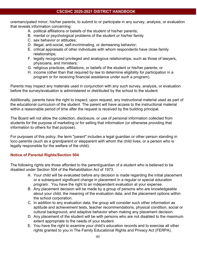unemancipated minor, his/her parents, to submit to or participate in any survey, analysis, or evaluation that reveals information concerning:

- A. political affiliations or beliefs of the student of his/her parents;
- B. mental or psychological problems of the student or his/her family
- C. sex behavior or attitudes;
- D. illegal, anti-social, self-incriminating, or demeaning behavior;
- E. critical appraisals of other individuals with whom respondents have close family relationships;
- F. legally recognized privileged and analogous relationships, such as those of lawyers, physicians, and ministers;
- G. religious practices, affiliations, or beliefs of the student or his/her parents; or
- H. income (other than that required by law to determine eligibility for participation in a program or for receiving financial assistance under such a program).

Parents may inspect any materials used in conjunction with any such survey, analysis, or evaluation before the survey/evaluation is administered or distributed by the school to the student.

Additionally, parents have the right to inspect, upon request, any instructional material used as part of the educational curriculum of the student. The parent will have access to the instructional material within a reasonable period of time after the request is received by the building principal.

The Board will not allow the collection, disclosure, or use of personal information collected from students for the purpose of marketing or for selling that information (or otherwise providing that information to others for that purpose).

For purposes of this policy, the term "parent" includes a legal guardian or other person standing in loco parentis (such as a grandparent or stepparent with whom the child lives, or a person who is legally responsible for the welfare of the child).

# **Notice of Parental Rights/Section 504**

The following rights are those afforded to the parent/guardian of a student who is believed to be disabled under Section 504 of the Rehabilitation Act of 1973:

- A. Your child will be evaluated before any decision is made regarding the initial placement or a subsequent significant change in placement in a regular or special education program. You have the right to an independent evaluation at your expense.
- B. Any placement decision will be made by a group of persons who are knowledgeable about your child, the meaning of the evaluation data, and the placement options within the school corporation.
- C. In addition to any evaluation data, the group will consider such other information as aptitude and achievement tests, teacher recommendations, physical condition, social or cultural background, and adaptive behavior when making any placement decision.
- D. Any placement of the student will be with persons who are not disabled to the maximum extent appropriate to the needs of your student.
- E. You have the right to examine your child's education records and to exercise all other rights granted to you in The Family Educational Rights and Privacy Act (FERPA).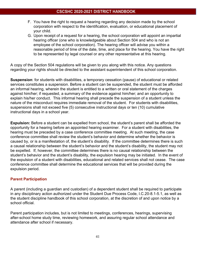- F. You have the right to request a hearing regarding any decision made by the school corporation with respect to the identification, evaluation, or educational placement of your child.
- G. Upon receipt of a request for a hearing, the school corporation will appoint an impartial hearing officer (one who is knowledgeable about Section 504 and who is not an employee of the school corporation). The hearing officer will advise you within a reasonable period of time of the date, time, and place for the hearing. You have the right to be represented by legal counsel or any other representative at this hearing.

A copy of the Section 504 regulations will be given to you along with this notice. Any questions regarding your rights should be directed to the assistant superintendent of this school corporation.

**Suspension**: for students with disabilities, a temporary cessation (pause) of educational or related services constitutes a suspension. Before a student can be suspended, the student must be afforded an informal hearing, wherein the student is entitled to a written or oral statement of the charges against him/her; if requested, a summary of the evidence against him/her; and an opportunity to explain his/her conduct. This informal hearing shall precede the suspension of a student unless the nature of the misconduct requires immediate removal of the student. For students with disabilities, suspensions shall not exceed five (5) consecutive instructional days or ten (10) cumulative instructional days in a school year.

**Expulsion:** Before a student can be expelled from school, the student's parent shall be afforded the opportunity for a hearing before an appointed hearing examiner. For a student with disabilities, the hearing must be preceded by a case conference committee meeting. At such meeting, the case conference committee shall review the student's behavior and determine whether the behavior is caused by, or is a manifestation of, the student's disability. If the committee determines there is such a causal relationship between the student's behavior and the student's disability, the student may not be expelled. If, however, the committee determines there is no causal relationship between the student's behavior and the student's disability, the expulsion hearing may be initiated. In the event of the expulsion of a student with disabilities, educational and related services shall not cease. The case conference committee shall determine the educational services that will be provided during the expulsion period.

# **Parent Participation**

A parent (including a guardian and custodian) of a dependent student shall be required to participate in any disciplinary action authorized under the Student Due Process Code, I.C.20-8.1-5.1, as well as the student discipline handbook of this school corporation, at the discretion of and upon notice by a school official.

Parent participation includes, but is not limited to meetings, conferences, hearings, supervising after-school home study time, reviewing homework, and assuring regular school attendance and attendance after school if necessary.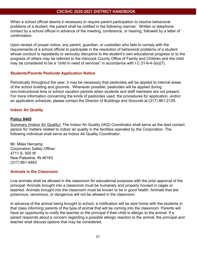When a school official deems it necessary to require parent participation to resolve behavioral problems of a student, the parent shall be notified in the following manner: Written or telephone contact by a school official in advance of the meeting, conference, or hearing, followed by a letter of confirmation.

Upon receipt of proper notice, any parent, guardian, or custodian who fails to comply with the requirements of a school official to participate in the resolution of behavioral problems of a student whose conduct is repeatedly or seriously disruptive to the student's own educational progress or to the progress of others may be referred to the Hancock County Office of Family and Children and the child may be considered to be a "child in need of services" in accordance with I.C.31-6-4-3(s)(7).

### **Students/Parents Pesticide Application Notice**

Periodically throughout the year, it may be necessary that pesticides will be applied to internal areas of the school building and grounds. Whenever possible, pesticides will be applied during non-instructional time or school vacation periods when students and staff members are not present. For more information concerning the kinds of pesticides used, the procedures for application, and/or an application schedule, please contact the Director of Buildings and Grounds at (317) 861-2129.

### **Indoor Air Quality**

#### **Policy 8405**

Summary (Indoor Air Quality): The Indoor Air Quality (IAQ) Coordinator shall serve as the lead contact person for matters related to indoor air quality in the facilities operated by the Corporation. The following individual shall serve as Indoor Air Quality Coordinator:

Mr. Miles Hercamp Corporation Safety Officer 4711 S. 500 W New Palestine, IN 46163 (317) 861-4463

#### **Animals in the Classroom**

Live animals shall be allowed in the classroom for educational purposes with the prior approval of the principal. Animals brought into a classroom must be humanely and properly housed in cages or leashed. Animals brought into the classroom must be known to be in good health. Animals that are poisonous, venomous, or dangerous will not be allowed in the classroom.

In advance of the animal being brought to school, a notification will be sent home with the students in that class informing parents of the type of animal that will be coming into the classroom. Parents will have an opportunity to notify the teacher or the principal if their child is allergic to the animal. If a parent responds about a concern regarding a possible allergic reaction to the animal, the principal and teacher shall discuss options that may be considered.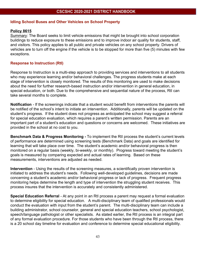#### **Idling School Buses and Other Vehicles on School Property**

#### **Policy 8615**

Summary: The Board seeks to limit vehicle emissions that might be brought into school corporation buildings to reduce exposure to these emissions and to improve indoor air quality for students, staff, and visitors. This policy applies to all public and private vehicles on any school property. Drivers of vehicles are to turn off the engine if the vehicle is to be stopped for more than five (5) minutes with few exceptions.

#### **Response to Instruction (RtI)**

Response to Instruction is a multi-step approach to providing services and interventions to all students who may experience learning and/or behavioral challenges. The progress students make at each stage of intervention is closely monitored. The results of this monitoring are used to make decisions about the need for further research-based instruction and/or intervention in general education, in special education, or both. Due to the comprehensive and sequential nature of the process, RtI can take several months to complete.

**Notification** *-* If the screenings indicate that a student would benefit from interventions the parents will be notified of the school's intent to initiate an intervention. Additionally, parents will be updated on the student's progress. If the student does not progress as anticipated the school may suggest a referral for special education evaluation, which requires a parent's written permission. Parents are an important part of a student's education and questions or concerns are welcomed. These initiatives are provided in the school at no cost to you.

**Benchmark Data & Progress Monitoring -** To implement the RtI process the student's current levels of performance are determined using screening tests (Benchmark Data) and goals are identified for learning that will take place over time. The student's academic and/or behavioral progress is then monitored on a regular basis (weekly, bi-weekly, or monthly). Progress toward meeting the student's goals is measured by comparing expected and actual rates of learning. Based on these measurements, interventions are adjusted as needed.

**Intervention** - Using the results of the screening measures, a scientifically proven intervention is initiated to address the student's needs. Following well-developed guidelines, decisions are made concerning a student's academic and/or behavioral progress or lack of progress. Frequent progress monitoring helps determine the length and type of intervention the struggling student receives. This process insures that the intervention is accurately and consistently administered.

**Special Education Referral** *-* At any point in an RtI process a parent may request a formal evaluation to determine eligibility for special education. A multi-disciplinary team of qualified professionals would conduct the evaluation with input from the student's parent. The multi-disciplinary team can include a building administrator, school counselor, general and special education teachers, school psychologist, speech/language pathologist or other specialists. As stated earlier, the RtI process is an integral part of any formal evaluation procedure. For those students who have been through the RtI process, there is a 20 school day timeline for evaluation and conference to determine special educational eligibility.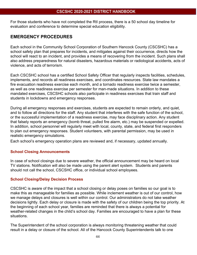For those students who have not completed the RtI process, there is a 50 school day timeline for evaluation and conference to determine special education eligibility.

# **EMERGENCY PROCEDURES**

Each school in the Community School Corporation of Southern Hancock County (CSCSHC) has a school safety plan that prepares for incidents, and mitigates against their occurrence, directs how the school will react to an incident, and provides a means of recovering from the incident. Such plans shall also address preparedness for natural disasters, hazardous materials or radiological accidents, acts of violence, and acts of terrorism.

Each CSCSHC school has a certified School Safety Officer that regularly inspects facilities, schedules, implements, and records all readiness exercises, and coordinates resources. State law mandates a fire evacuation readiness exercise each month, and a tornado readiness exercise twice a semester, as well as one readiness exercise per semester for man-made situations. In addition to these mandated exercises, CSCSHC schools also participate in readiness exercises that train staff and students in lockdowns and emergency responses.

During all emergency responses and exercises, students are expected to remain orderly, and quiet, and to follow all directions for the staff. Any student that interferes with the safe function of the school, or the successful implementation of a readiness exercise, may face disciplinary action. Any student that falsely reports an emergency (bomb threat, pulled fire alarm, etc.) may be suspended or expelled. In addition, school personnel will regularly meet with local, county, state, and federal first responders to plan out emergency responses. Student volunteers, with parental permission, may be used in realistic emergency simulations.

Each school's emergency operation plans are reviewed and, if necessary, updated annually.

#### **School Closing Announcements**

In case of school closings due to severe weather, the official announcement may be heard on local TV stations. Notification will also be made using the parent alert system. Students and parents should not call the school, CSCSHC office, or individual school employees.

#### **School Closing/Delay Decision Process**

CSCSHC is aware of the impact that a school closing or delay poses on families so our goal is to make this as manageable for families as possible. While inclement weather is out of our control, how we manage delays and closures is well within our control. Our administrators do not take weather decisions lightly. Each delay or closure is made with the safety of our children being the top priority. At the beginning of each school year, families are reminded that there is always a potential for weather-related changes in the child's school day. Families are encouraged to have a plan for these situations.

The Superintendent of the school corporation is always monitoring threatening weather that could result in a delay or closure of the school. All of the Hancock County Superintendents talk to one